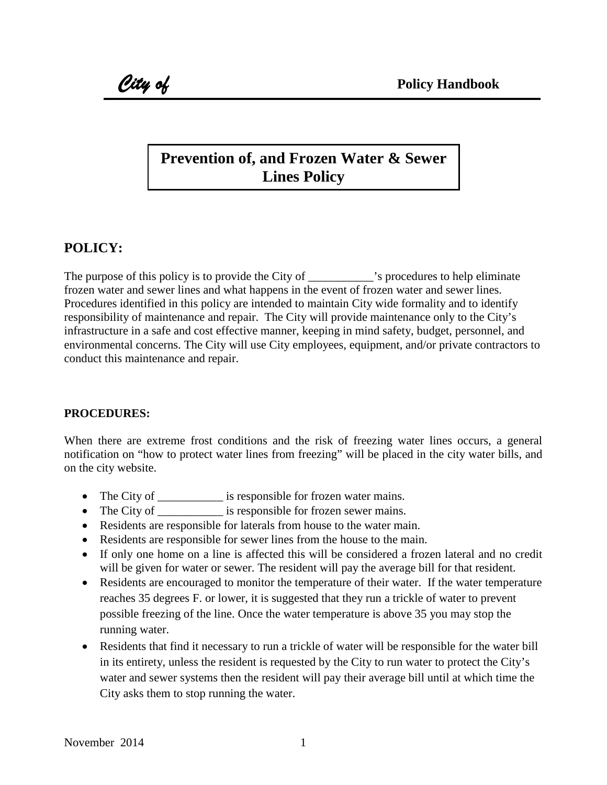## **Prevention of, and Frozen Water & Sewer Lines Policy**

## **POLICY:**

The purpose of this policy is to provide the City of  $\cdot$  s procedures to help eliminate frozen water and sewer lines and what happens in the event of frozen water and sewer lines. Procedures identified in this policy are intended to maintain City wide formality and to identify responsibility of maintenance and repair. The City will provide maintenance only to the City's infrastructure in a safe and cost effective manner, keeping in mind safety, budget, personnel, and environmental concerns. The City will use City employees, equipment, and/or private contractors to conduct this maintenance and repair.

## **PROCEDURES:**

When there are extreme frost conditions and the risk of freezing water lines occurs, a general notification on "how to protect water lines from freezing" will be placed in the city water bills, and on the city website.

- The City of \_\_\_\_\_\_\_\_\_\_\_\_\_ is responsible for frozen water mains.
- The City of \_\_\_\_\_\_\_\_\_\_\_\_\_ is responsible for frozen sewer mains.
- Residents are responsible for laterals from house to the water main.
- Residents are responsible for sewer lines from the house to the main.
- If only one home on a line is affected this will be considered a frozen lateral and no credit will be given for water or sewer. The resident will pay the average bill for that resident.
- Residents are encouraged to monitor the temperature of their water. If the water temperature reaches 35 degrees F. or lower, it is suggested that they run a trickle of water to prevent possible freezing of the line. Once the water temperature is above 35 you may stop the running water.
- Residents that find it necessary to run a trickle of water will be responsible for the water bill in its entirety, unless the resident is requested by the City to run water to protect the City's water and sewer systems then the resident will pay their average bill until at which time the City asks them to stop running the water.